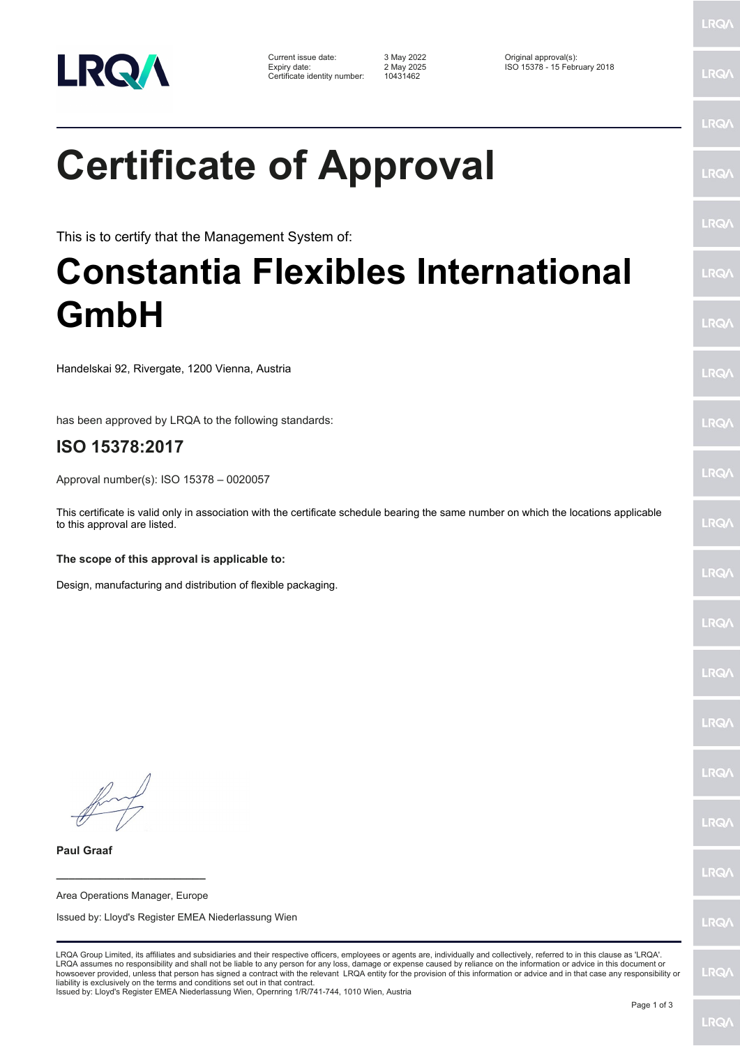

| Current issue date:          |  |
|------------------------------|--|
| Expiry date:                 |  |
| Certificate identity number: |  |

Certificate identity number: 10431462

Current issue date: 3 May 2022 Original approval(s): Expiry date: 2 May 2025 ISO 15378 - 15 February 2018

## **Certificate of Approval**

This is to certify that the Management System of:

## **Constantia Flexibles International GmbH**

Handelskai 92, Rivergate, 1200 Vienna, Austria

has been approved by LRQA to the following standards:

## **ISO 15378:2017**

Approval number(s): ISO 15378 – 0020057

This certificate is valid only in association with the certificate schedule bearing the same number on which the locations applicable to this approval are listed.

**The scope of this approval is applicable to:**

Design, manufacturing and distribution of flexible packaging.

**\_\_\_\_\_\_\_\_\_\_\_\_\_\_\_\_\_\_\_\_\_\_\_\_**

**Paul Graaf**

Area Operations Manager, Europe Issued by: Lloyd's Register EMEA Niederlassung Wien

LRQA Group Limited, its affiliates and subsidiaries and their respective officers, employees or agents are, individually and collectively, referred to in this clause as 'LRQA'. LRQA assumes no responsibility and shall not be liable to any person for any loss, damage or expense caused by reliance on the information or advice in this document or<br>howsoever provided, unless that person has signed a c liability is exclusively on the terms and conditions set out in that contract.

Issued by: Lloyd's Register EMEA Niederlassung Wien, Opernring 1/R/741-744, 1010 Wien, Austria

LRQ/

LRQ/

LRQ/

LRQ/

LRQ/

LRQ/

LRQ/

LRQ/

LRQ/

LRQ/

LRQ/

LRQ/

LRQ/

LRQ/

**LRO/** 

LRQ/

LRQ/

LRQ/

LRQ/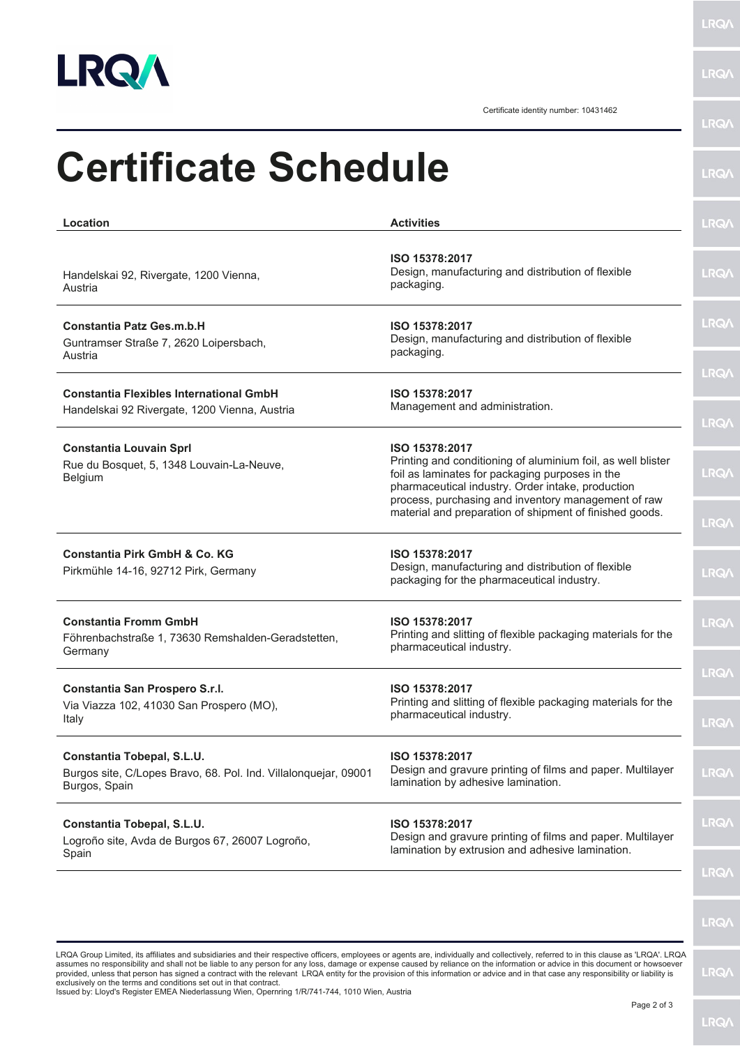

**LRQA** 

LRQ/\

Certificate identity number: 10431462

| Location                                                                                                       | <b>Activities</b>                                                                                                                                                                      | <b>LRQA</b>                 |
|----------------------------------------------------------------------------------------------------------------|----------------------------------------------------------------------------------------------------------------------------------------------------------------------------------------|-----------------------------|
| Handelskai 92, Rivergate, 1200 Vienna,<br>Austria                                                              | ISO 15378:2017<br>Design, manufacturing and distribution of flexible<br>packaging.                                                                                                     | <b>LRQA</b>                 |
| <b>Constantia Patz Ges.m.b.H</b><br>Guntramser Straße 7, 2620 Loipersbach,<br>Austria                          | ISO 15378:2017<br>Design, manufacturing and distribution of flexible<br>packaging.                                                                                                     | <b>LRQA</b>                 |
| <b>Constantia Flexibles International GmbH</b><br>Handelskai 92 Rivergate, 1200 Vienna, Austria                | ISO 15378:2017<br>Management and administration.                                                                                                                                       | <b>LRQ/\</b><br><b>LRQA</b> |
| <b>Constantia Louvain Sprl</b><br>Rue du Bosquet, 5, 1348 Louvain-La-Neuve,<br>Belgium                         | ISO 15378:2017<br>Printing and conditioning of aluminium foil, as well blister<br>foil as laminates for packaging purposes in the<br>pharmaceutical industry. Order intake, production | <b>LRQA</b>                 |
|                                                                                                                | process, purchasing and inventory management of raw<br>material and preparation of shipment of finished goods.                                                                         | <b>LRQA</b>                 |
| <b>Constantia Pirk GmbH &amp; Co. KG</b><br>Pirkmühle 14-16, 92712 Pirk, Germany                               | ISO 15378:2017<br>Design, manufacturing and distribution of flexible<br>packaging for the pharmaceutical industry.                                                                     | <b>LRQA</b>                 |
| <b>Constantia Fromm GmbH</b><br>Föhrenbachstraße 1, 73630 Remshalden-Geradstetten,<br>Germany                  | ISO 15378:2017<br>Printing and slitting of flexible packaging materials for the<br>pharmaceutical industry.                                                                            | <b>LRQA</b>                 |
| Constantia San Prospero S.r.l.<br>Via Viazza 102, 41030 San Prospero (MO),<br>Italy                            | ISO 15378:2017<br>Printing and slitting of flexible packaging materials for the<br>pharmaceutical industry.                                                                            | <b>LRQ/</b><br><b>LRQA</b>  |
| Constantia Tobepal, S.L.U.<br>Burgos site, C/Lopes Bravo, 68. Pol. Ind. Villalonquejar, 09001<br>Burgos, Spain | ISO 15378:2017<br>Design and gravure printing of films and paper. Multilayer<br>lamination by adhesive lamination.                                                                     | <b>LRQ/</b>                 |
| Constantia Tobepal, S.L.U.<br>Logroño site, Avda de Burgos 67, 26007 Logroño,<br>Spain                         | ISO 15378:2017<br>Design and gravure printing of films and paper. Multilayer<br>lamination by extrusion and adhesive lamination.                                                       | <b>LRQA</b>                 |
|                                                                                                                |                                                                                                                                                                                        | <b>LRQ/</b>                 |